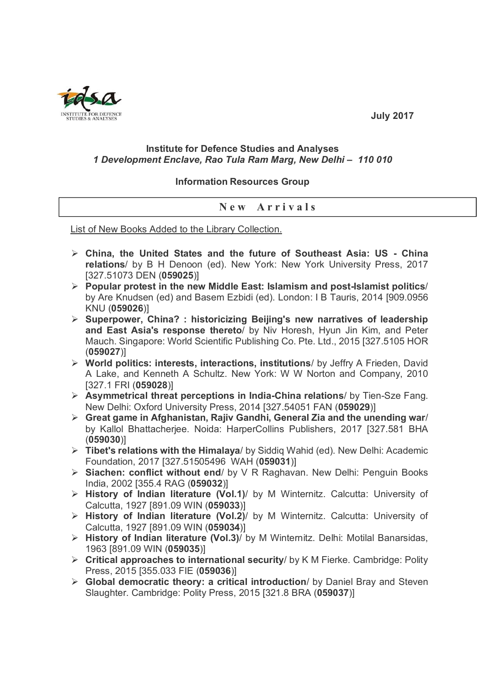

## **July 2017**

## **Institute for Defence Studies and Analyses** *1 Development Enclave, Rao Tula Ram Marg, New Delhi – 110 010*

## **Information Resources Group**

## **N e w A r r i v a l s**

List of New Books Added to the Library Collection.

- **China, the United States and the future of Southeast Asia: US - China relations**/ by B H Denoon (ed). New York: New York University Press, 2017 [327.51073 DEN (**059025**)]
- **Popular protest in the new Middle East: Islamism and post-Islamist politics**/ by Are Knudsen (ed) and Basem Ezbidi (ed). London: I B Tauris, 2014 [909.0956 KNU (**059026**)]
- **Superpower, China? : historicizing Beijing's new narratives of leadership and East Asia's response thereto**/ by Niv Horesh, Hyun Jin Kim, and Peter Mauch. Singapore: World Scientific Publishing Co. Pte. Ltd., 2015 [327.5105 HOR (**059027**)]
- **World politics: interests, interactions, institutions**/ by Jeffry A Frieden, David A Lake, and Kenneth A Schultz. New York: W W Norton and Company, 2010 [327.1 FRI (**059028**)]
- **Asymmetrical threat perceptions in India-China relations**/ by Tien-Sze Fang. New Delhi: Oxford University Press, 2014 [327.54051 FAN (**059029**)]
- **Great game in Afghanistan, Rajiv Gandhi, General Zia and the unending war**/ by Kallol Bhattacherjee. Noida: HarperCollins Publishers, 2017 [327.581 BHA (**059030**)]
- **Tibet's relations with the Himalaya**/ by Siddiq Wahid (ed). New Delhi: Academic Foundation, 2017 [327.51505496 WAH (**059031**)]
- **Siachen: conflict without end**/ by V R Raghavan. New Delhi: Penguin Books India, 2002 [355.4 RAG (**059032**)]
- **History of Indian literature (Vol.1)**/ by M Winternitz. Calcutta: University of Calcutta, 1927 [891.09 WIN (**059033**)]
- **History of Indian literature (Vol.2)**/ by M Winternitz. Calcutta: University of Calcutta, 1927 [891.09 WIN (**059034**)]
- **History of Indian literature (Vol.3)**/ by M Winternitz. Delhi: Motilal Banarsidas, 1963 [891.09 WIN (**059035**)]
- **Critical approaches to international security**/ by K M Fierke. Cambridge: Polity Press, 2015 [355.033 FIE (**059036**)]
- **Global democratic theory: a critical introduction**/ by Daniel Bray and Steven Slaughter. Cambridge: Polity Press, 2015 [321.8 BRA (**059037**)]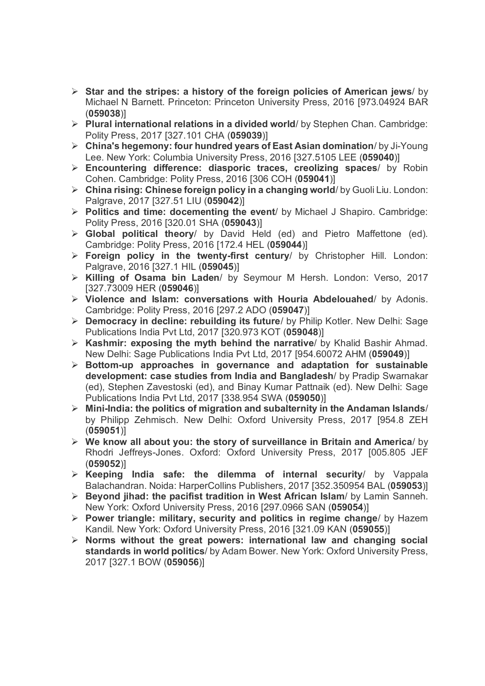- **Star and the stripes: a history of the foreign policies of American jews**/ by Michael N Barnett. Princeton: Princeton University Press, 2016 [973.04924 BAR (**059038**)]
- **Plural international relations in a divided world**/ by Stephen Chan. Cambridge: Polity Press, 2017 [327.101 CHA (**059039**)]
- **China's hegemony: four hundred years of East Asian domination**/ by Ji-Young Lee. New York: Columbia University Press, 2016 [327.5105 LEE (**059040**)]
- **Encountering difference: diasporic traces, creolizing spaces**/ by Robin Cohen. Cambridge: Polity Press, 2016 [306 COH (**059041**)]
- **China rising: Chinese foreign policy in a changing world**/ by Guoli Liu. London: Palgrave, 2017 [327.51 LIU (**059042**)]
- **Politics and time: docementing the event**/ by Michael J Shapiro. Cambridge: Polity Press, 2016 [320.01 SHA (**059043**)]
- **Global political theory**/ by David Held (ed) and Pietro Maffettone (ed). Cambridge: Polity Press, 2016 [172.4 HEL (**059044**)]
- **Foreign policy in the twenty-first century**/ by Christopher Hill. London: Palgrave, 2016 [327.1 HIL (**059045**)]
- **Killing of Osama bin Laden**/ by Seymour M Hersh. London: Verso, 2017 [327.73009 HER (**059046**)]
- **Violence and Islam: conversations with Houria Abdelouahed**/ by Adonis. Cambridge: Polity Press, 2016 [297.2 ADO (**059047**)]
- **Democracy in decline: rebuilding its future**/ by Philip Kotler. New Delhi: Sage Publications India Pvt Ltd, 2017 [320.973 KOT (**059048**)]
- **Kashmir: exposing the myth behind the narrative**/ by Khalid Bashir Ahmad. New Delhi: Sage Publications India Pvt Ltd, 2017 [954.60072 AHM (**059049**)]
- **Bottom-up approaches in governance and adaptation for sustainable development: case studies from India and Bangladesh**/ by Pradip Swarnakar (ed), Stephen Zavestoski (ed), and Binay Kumar Pattnaik (ed). New Delhi: Sage Publications India Pvt Ltd, 2017 [338.954 SWA (**059050**)]
- **Mini-India: the politics of migration and subalternity in the Andaman Islands**/ by Philipp Zehmisch. New Delhi: Oxford University Press, 2017 [954.8 ZEH (**059051**)]
- **We know all about you: the story of surveillance in Britain and America**/ by Rhodri Jeffreys-Jones. Oxford: Oxford University Press, 2017 [005.805 JEF (**059052**)]
- **Keeping India safe: the dilemma of internal security**/ by Vappala Balachandran. Noida: HarperCollins Publishers, 2017 [352.350954 BAL (**059053**)]
- **Beyond jihad: the pacifist tradition in West African Islam**/ by Lamin Sanneh. New York: Oxford University Press, 2016 [297.0966 SAN (**059054**)]
- **Power triangle: military, security and politics in regime change**/ by Hazem Kandil. New York: Oxford University Press, 2016 [321.09 KAN (**059055**)]
- **Norms without the great powers: international law and changing social standards in world politics**/ by Adam Bower. New York: Oxford University Press, 2017 [327.1 BOW (**059056**)]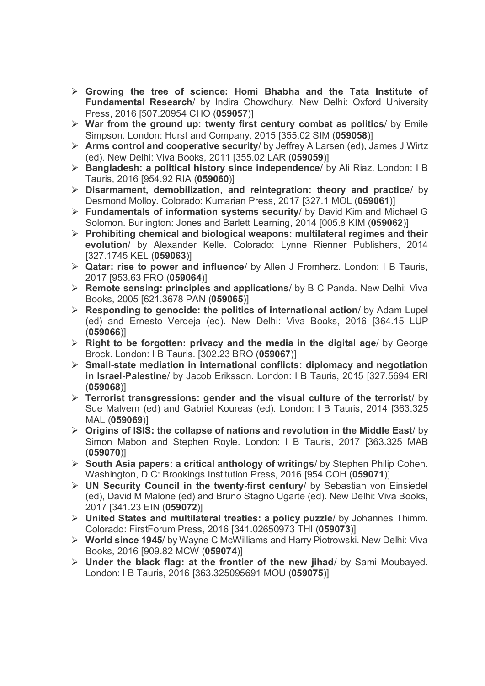- **Growing the tree of science: Homi Bhabha and the Tata Institute of Fundamental Research**/ by Indira Chowdhury. New Delhi: Oxford University Press, 2016 [507.20954 CHO (**059057**)]
- **War from the ground up: twenty first century combat as politics**/ by Emile Simpson. London: Hurst and Company, 2015 [355.02 SIM (**059058**)]
- **Arms control and cooperative security**/ by Jeffrey A Larsen (ed), James J Wirtz (ed). New Delhi: Viva Books, 2011 [355.02 LAR (**059059**)]
- **Bangladesh: a political history since independence**/ by Ali Riaz. London: I B Tauris, 2016 [954.92 RIA (**059060**)]
- **Disarmament, demobilization, and reintegration: theory and practice**/ by Desmond Molloy. Colorado: Kumarian Press, 2017 [327.1 MOL (**059061**)]
- **Fundamentals of information systems security**/ by David Kim and Michael G Solomon. Burlington: Jones and Barlett Learning, 2014 [005.8 KIM (**059062**)]
- **Prohibiting chemical and biological weapons: multilateral regimes and their evolution**/ by Alexander Kelle. Colorado: Lynne Rienner Publishers, 2014 [327.1745 KEL (**059063**)]
- **Qatar: rise to power and influence**/ by Allen J Fromherz. London: I B Tauris, 2017 [953.63 FRO (**059064**)]
- **Remote sensing: principles and applications**/ by B C Panda. New Delhi: Viva Books, 2005 [621.3678 PAN (**059065**)]
- **Responding to genocide: the politics of international action**/ by Adam Lupel (ed) and Ernesto Verdeja (ed). New Delhi: Viva Books, 2016 [364.15 LUP (**059066**)]
- **Right to be forgotten: privacy and the media in the digital age**/ by George Brock. London: I B Tauris. [302.23 BRO (**059067**)]
- **Small-state mediation in international conflicts: diplomacy and negotiation in Israel-Palestine**/ by Jacob Eriksson. London: I B Tauris, 2015 [327.5694 ERI (**059068**)]
- **Terrorist transgressions: gender and the visual culture of the terrorist**/ by Sue Malvern (ed) and Gabriel Koureas (ed). London: I B Tauris, 2014 [363.325 MAL (**059069**)]
- **Origins of ISIS: the collapse of nations and revolution in the Middle East**/ by Simon Mabon and Stephen Royle. London: I B Tauris, 2017 [363.325 MAB (**059070**)]
- **South Asia papers: a critical anthology of writings**/ by Stephen Philip Cohen. Washington, D C: Brookings Institution Press, 2016 [954 COH (**059071**)]
- **UN Security Council in the twenty-first century**/ by Sebastian von Einsiedel (ed), David M Malone (ed) and Bruno Stagno Ugarte (ed). New Delhi: Viva Books, 2017 [341.23 EIN (**059072**)]
- **United States and multilateral treaties: a policy puzzle**/ by Johannes Thimm. Colorado: FirstForum Press, 2016 [341.02650973 THI (**059073**)]
- **World since 1945**/ by Wayne C McWilliams and Harry Piotrowski. New Delhi: Viva Books, 2016 [909.82 MCW (**059074**)]
- **Under the black flag: at the frontier of the new jihad**/ by Sami Moubayed. London: I B Tauris, 2016 [363.325095691 MOU (**059075**)]